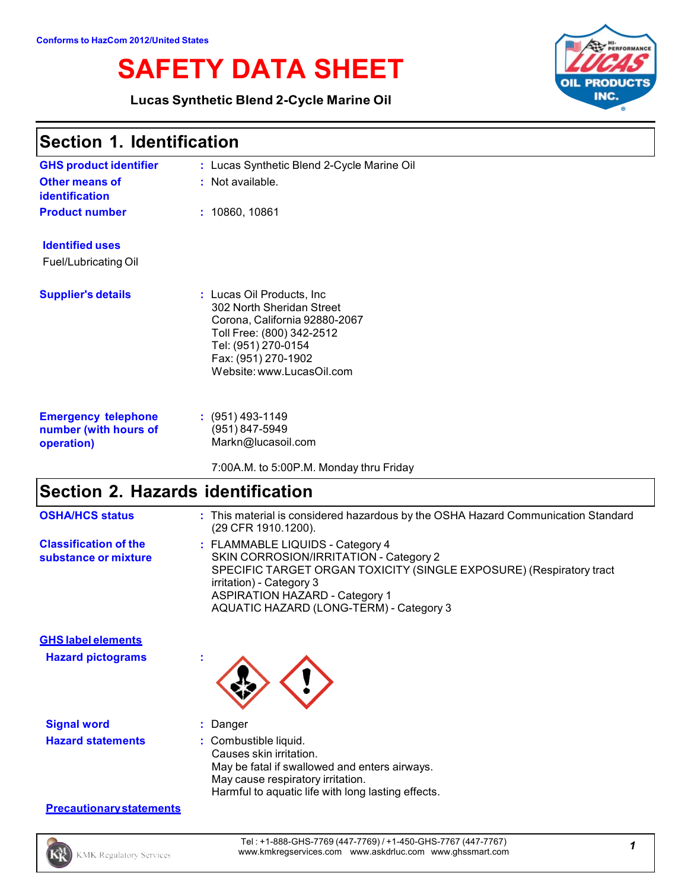# **SAFETY DATA SHEET**

**Lucas Synthetic Blend 2-Cycle Marine Oil**



### **Section 1. Identification**

| <b>GHS product identifier</b>                                     | : Lucas Synthetic Blend 2-Cycle Marine Oil                                                                                                                                                       |
|-------------------------------------------------------------------|--------------------------------------------------------------------------------------------------------------------------------------------------------------------------------------------------|
| <b>Other means of</b><br><b>identification</b>                    | : Not available.                                                                                                                                                                                 |
| <b>Product number</b>                                             | : 10860, 10861                                                                                                                                                                                   |
| <b>Identified uses</b>                                            |                                                                                                                                                                                                  |
| <b>Fuel/Lubricating Oil</b>                                       |                                                                                                                                                                                                  |
| <b>Supplier's details</b>                                         | : Lucas Oil Products, Inc.<br>302 North Sheridan Street<br>Corona, California 92880-2067<br>Toll Free: (800) 342-2512<br>Tel: (951) 270-0154<br>Fax: (951) 270-1902<br>Website: www.LucasOil.com |
| <b>Emergency telephone</b><br>number (with hours of<br>operation) | $: (951)$ 493-1149<br>(951) 847-5949<br>Markn@lucasoil.com                                                                                                                                       |

#### 7:00A.M. to 5:00P.M. Monday thru Friday

### **Section 2. Hazards identification**

| <b>OSHA/HCS status</b>                                | : This material is considered hazardous by the OSHA Hazard Communication Standard<br>(29 CFR 1910.1200).                                                                                                                                                          |
|-------------------------------------------------------|-------------------------------------------------------------------------------------------------------------------------------------------------------------------------------------------------------------------------------------------------------------------|
| <b>Classification of the</b><br>substance or mixture  | : FLAMMABLE LIQUIDS - Category 4<br>SKIN CORROSION/IRRITATION - Category 2<br>SPECIFIC TARGET ORGAN TOXICITY (SINGLE EXPOSURE) (Respiratory tract<br>irritation) - Category 3<br><b>ASPIRATION HAZARD - Category 1</b><br>AQUATIC HAZARD (LONG-TERM) - Category 3 |
| <b>GHS label elements</b><br><b>Hazard pictograms</b> |                                                                                                                                                                                                                                                                   |

| <b>Signal word</b>       | : Danger                                      |
|--------------------------|-----------------------------------------------|
| <b>Hazard statements</b> | : Combustible liquid.                         |
|                          | Causes skin irritation.                       |
|                          | May be fatal if swallowed and enters airways. |

May cause respiratory irritation.

Harmful to aquatic life with long lasting effects.

#### **Precautionarystatements**

Tel : +1-888-GHS-7769 (447-7769) / +1-450-GHS-7767 (447-7767) www.kmkregservices.com www.askdrluc.com www.ghssmart.com *<sup>1</sup>*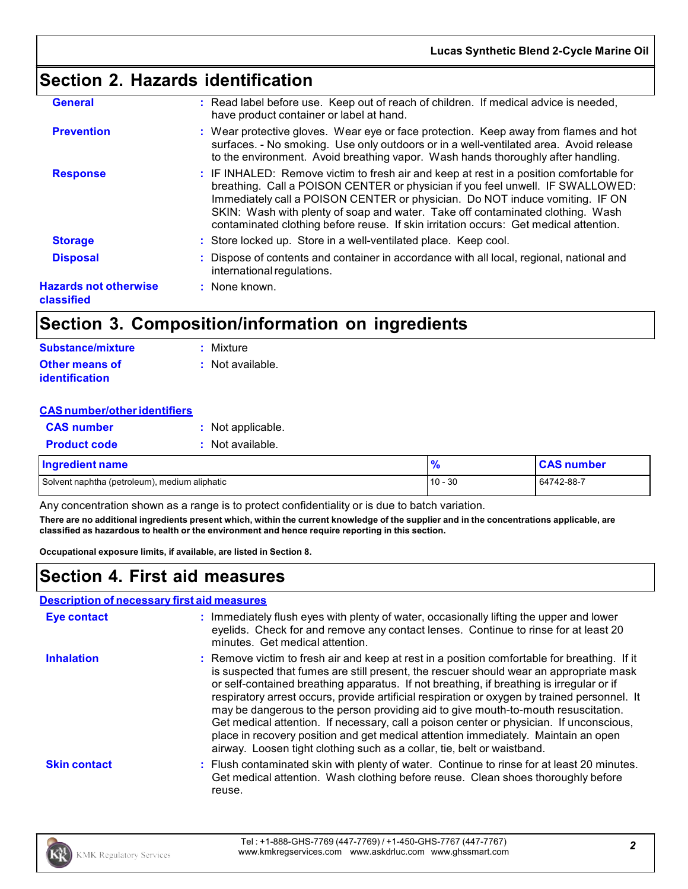### **Section 2. Hazards identification**

| <b>General</b>                             | : Read label before use. Keep out of reach of children. If medical advice is needed,<br>have product container or label at hand.                                                                                                                                                                                                                                                                                                     |
|--------------------------------------------|--------------------------------------------------------------------------------------------------------------------------------------------------------------------------------------------------------------------------------------------------------------------------------------------------------------------------------------------------------------------------------------------------------------------------------------|
| <b>Prevention</b>                          | : Wear protective gloves. Wear eye or face protection. Keep away from flames and hot<br>surfaces. - No smoking. Use only outdoors or in a well-ventilated area. Avoid release<br>to the environment. Avoid breathing vapor. Wash hands thoroughly after handling.                                                                                                                                                                    |
| <b>Response</b>                            | : IF INHALED: Remove victim to fresh air and keep at rest in a position comfortable for<br>breathing. Call a POISON CENTER or physician if you feel unwell. IF SWALLOWED:<br>Immediately call a POISON CENTER or physician. Do NOT induce vomiting. IF ON<br>SKIN: Wash with plenty of soap and water. Take off contaminated clothing. Wash<br>contaminated clothing before reuse. If skin irritation occurs: Get medical attention. |
| <b>Storage</b>                             | : Store locked up. Store in a well-ventilated place. Keep cool.                                                                                                                                                                                                                                                                                                                                                                      |
| <b>Disposal</b>                            | : Dispose of contents and container in accordance with all local, regional, national and<br>international regulations.                                                                                                                                                                                                                                                                                                               |
| <b>Hazards not otherwise</b><br>classified | : None known.                                                                                                                                                                                                                                                                                                                                                                                                                        |
|                                            |                                                                                                                                                                                                                                                                                                                                                                                                                                      |

### **Section 3. Composition/information on ingredients**

| Substance/mixture     | : Mixture          |
|-----------------------|--------------------|
| <b>Other means of</b> | $:$ Not available. |
| <b>identification</b> |                    |

| <b>CAS number</b>                             | : Not applicable. |               |                   |
|-----------------------------------------------|-------------------|---------------|-------------------|
| <b>Product code</b>                           | Not available.    |               |                   |
| <b>Ingredient name</b>                        |                   | $\frac{9}{6}$ | <b>CAS number</b> |
| Solvent naphtha (petroleum), medium aliphatic |                   | $10 - 30$     | 64742-88-7        |

Any concentration shown as a range is to protect confidentiality or is due to batch variation.

**There are no additional ingredients present which, within the current knowledge of the supplier and in the concentrations applicable, are classified as hazardous to health or the environment and hence require reporting in this section.**

**Occupational exposure limits, if available, are listed in Section 8.**

### **Section 4. First aid measures**

#### **Description of necessary first aid measures**

| <b>Eye contact</b>  | : Immediately flush eyes with plenty of water, occasionally lifting the upper and lower<br>eyelids. Check for and remove any contact lenses. Continue to rinse for at least 20<br>minutes. Get medical attention.                                                                                                                                                                                                                                                                                                                                                                                                                                                                                                                    |
|---------------------|--------------------------------------------------------------------------------------------------------------------------------------------------------------------------------------------------------------------------------------------------------------------------------------------------------------------------------------------------------------------------------------------------------------------------------------------------------------------------------------------------------------------------------------------------------------------------------------------------------------------------------------------------------------------------------------------------------------------------------------|
| <b>Inhalation</b>   | : Remove victim to fresh air and keep at rest in a position comfortable for breathing. If it<br>is suspected that fumes are still present, the rescuer should wear an appropriate mask<br>or self-contained breathing apparatus. If not breathing, if breathing is irregular or if<br>respiratory arrest occurs, provide artificial respiration or oxygen by trained personnel. It<br>may be dangerous to the person providing aid to give mouth-to-mouth resuscitation.<br>Get medical attention. If necessary, call a poison center or physician. If unconscious,<br>place in recovery position and get medical attention immediately. Maintain an open<br>airway. Loosen tight clothing such as a collar, tie, belt or waistband. |
| <b>Skin contact</b> | : Flush contaminated skin with plenty of water. Continue to rinse for at least 20 minutes.<br>Get medical attention. Wash clothing before reuse. Clean shoes thoroughly before<br>reuse.                                                                                                                                                                                                                                                                                                                                                                                                                                                                                                                                             |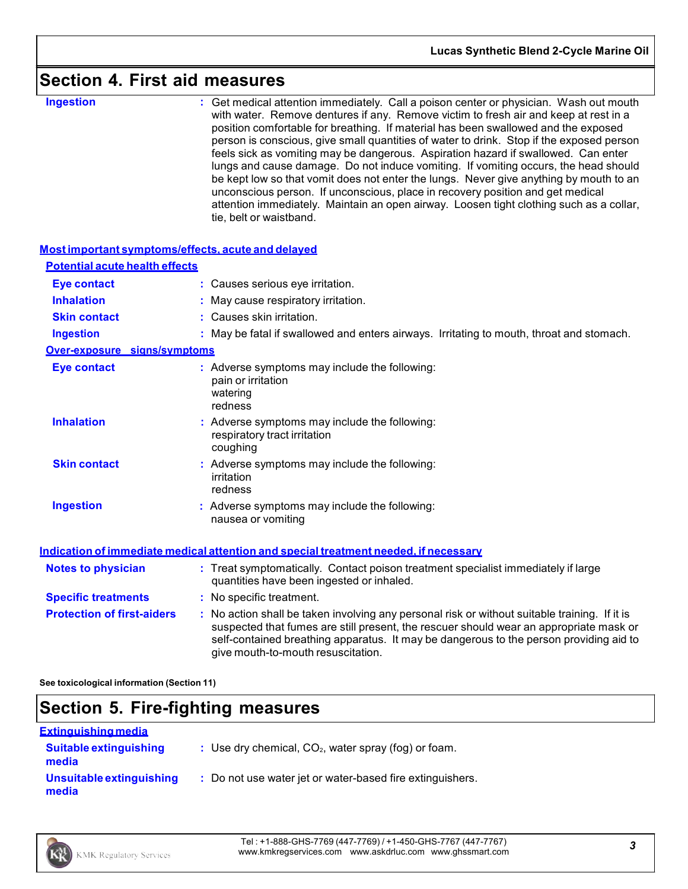### **Section 4. First aid measures**

**Ingestion** : Get medical attention immediately. Call a poison center or physician. Wash out mouth with water. Remove dentures if any. Remove victim to fresh air and keep at rest in a position comfortable for breathing. If material has been swallowed and the exposed person is conscious, give small quantities of water to drink. Stop if the exposed person feels sick as vomiting may be dangerous. Aspiration hazard if swallowed. Can enter lungs and cause damage. Do not induce vomiting. If vomiting occurs, the head should be kept low so that vomit does not enter the lungs. Never give anything by mouth to an unconscious person. If unconscious, place in recovery position and get medical attention immediately. Maintain an open airway. Loosen tight clothing such as a collar, tie, belt or waistband.

| Most important symptoms/effects, acute and delayed |                                                                                                                                                                                                                                                                                                                         |
|----------------------------------------------------|-------------------------------------------------------------------------------------------------------------------------------------------------------------------------------------------------------------------------------------------------------------------------------------------------------------------------|
| <b>Potential acute health effects</b>              |                                                                                                                                                                                                                                                                                                                         |
| <b>Eye contact</b>                                 | : Causes serious eye irritation.                                                                                                                                                                                                                                                                                        |
| <b>Inhalation</b>                                  | : May cause respiratory irritation.                                                                                                                                                                                                                                                                                     |
| <b>Skin contact</b>                                | : Causes skin irritation.                                                                                                                                                                                                                                                                                               |
| <b>Ingestion</b>                                   | : May be fatal if swallowed and enters airways. Irritating to mouth, throat and stomach.                                                                                                                                                                                                                                |
| <b>Over-exposure signs/symptoms</b>                |                                                                                                                                                                                                                                                                                                                         |
| <b>Eye contact</b>                                 | : Adverse symptoms may include the following:<br>pain or irritation<br>watering<br>redness                                                                                                                                                                                                                              |
| <b>Inhalation</b>                                  | : Adverse symptoms may include the following:<br>respiratory tract irritation<br>coughing                                                                                                                                                                                                                               |
| <b>Skin contact</b>                                | : Adverse symptoms may include the following:<br>irritation<br>redness                                                                                                                                                                                                                                                  |
| <b>Ingestion</b>                                   | : Adverse symptoms may include the following:<br>nausea or vomiting                                                                                                                                                                                                                                                     |
|                                                    | Indication of immediate medical attention and special treatment needed, if necessary                                                                                                                                                                                                                                    |
| <b>Notes to physician</b>                          | : Treat symptomatically. Contact poison treatment specialist immediately if large<br>quantities have been ingested or inhaled.                                                                                                                                                                                          |
| <b>Specific treatments</b>                         | : No specific treatment.                                                                                                                                                                                                                                                                                                |
| <b>Protection of first-aiders</b>                  | : No action shall be taken involving any personal risk or without suitable training. If it is<br>suspected that fumes are still present, the rescuer should wear an appropriate mask or<br>self-contained breathing apparatus. It may be dangerous to the person providing aid to<br>give mouth-to-mouth resuscitation. |

**See toxicological information (Section 11)**

### **Section 5. Fire-fighting measures**

| <u>Extinguishing media</u>             |                                                           |
|----------------------------------------|-----------------------------------------------------------|
| <b>Suitable extinguishing</b><br>media | : Use dry chemical, $CO2$ , water spray (fog) or foam.    |
| Unsuitable extinguishing<br>media      | : Do not use water jet or water-based fire extinguishers. |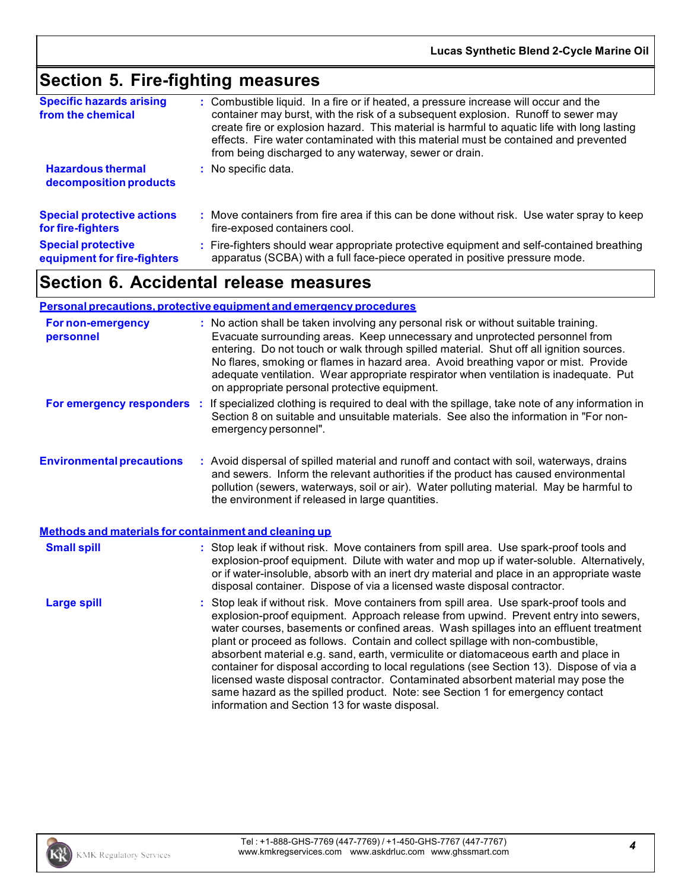### **Section 5. Fire-fighting measures**

| <b>Specific hazards arising</b><br>from the chemical | : Combustible liquid. In a fire or if heated, a pressure increase will occur and the<br>container may burst, with the risk of a subsequent explosion. Runoff to sewer may<br>create fire or explosion hazard. This material is harmful to aquatic life with long lasting<br>effects. Fire water contaminated with this material must be contained and prevented<br>from being discharged to any waterway, sewer or drain. |
|------------------------------------------------------|---------------------------------------------------------------------------------------------------------------------------------------------------------------------------------------------------------------------------------------------------------------------------------------------------------------------------------------------------------------------------------------------------------------------------|
| <b>Hazardous thermal</b><br>decomposition products   | : No specific data.                                                                                                                                                                                                                                                                                                                                                                                                       |
| <b>Special protective actions</b>                    | : Move containers from fire area if this can be done without risk. Use water spray to keep                                                                                                                                                                                                                                                                                                                                |
| for fire-fighters                                    | fire-exposed containers cool.                                                                                                                                                                                                                                                                                                                                                                                             |
| <b>Special protective</b>                            | : Fire-fighters should wear appropriate protective equipment and self-contained breathing                                                                                                                                                                                                                                                                                                                                 |
| equipment for fire-fighters                          | apparatus (SCBA) with a full face-piece operated in positive pressure mode.                                                                                                                                                                                                                                                                                                                                               |

### **Section 6. Accidental release measures**

#### **Personal precautions, protective equipment and emergency procedures**

| <b>For non-emergency</b><br>personnel                 | : No action shall be taken involving any personal risk or without suitable training.<br>Evacuate surrounding areas. Keep unnecessary and unprotected personnel from<br>entering. Do not touch or walk through spilled material. Shut off all ignition sources.<br>No flares, smoking or flames in hazard area. Avoid breathing vapor or mist. Provide<br>adequate ventilation. Wear appropriate respirator when ventilation is inadequate. Put<br>on appropriate personal protective equipment.                                                                                                                                                                                                                    |
|-------------------------------------------------------|--------------------------------------------------------------------------------------------------------------------------------------------------------------------------------------------------------------------------------------------------------------------------------------------------------------------------------------------------------------------------------------------------------------------------------------------------------------------------------------------------------------------------------------------------------------------------------------------------------------------------------------------------------------------------------------------------------------------|
| For emergency responders :                            | If specialized clothing is required to deal with the spillage, take note of any information in<br>Section 8 on suitable and unsuitable materials. See also the information in "For non-<br>emergency personnel".                                                                                                                                                                                                                                                                                                                                                                                                                                                                                                   |
| <b>Environmental precautions</b>                      | : Avoid dispersal of spilled material and runoff and contact with soil, waterways, drains<br>and sewers. Inform the relevant authorities if the product has caused environmental<br>pollution (sewers, waterways, soil or air). Water polluting material. May be harmful to<br>the environment if released in large quantities.                                                                                                                                                                                                                                                                                                                                                                                    |
| Methods and materials for containment and cleaning up |                                                                                                                                                                                                                                                                                                                                                                                                                                                                                                                                                                                                                                                                                                                    |
| <b>Small spill</b>                                    | : Stop leak if without risk. Move containers from spill area. Use spark-proof tools and<br>explosion-proof equipment. Dilute with water and mop up if water-soluble. Alternatively,<br>or if water-insoluble, absorb with an inert dry material and place in an appropriate waste<br>disposal container. Dispose of via a licensed waste disposal contractor.                                                                                                                                                                                                                                                                                                                                                      |
| <b>Large spill</b>                                    | : Stop leak if without risk. Move containers from spill area. Use spark-proof tools and<br>explosion-proof equipment. Approach release from upwind. Prevent entry into sewers,<br>water courses, basements or confined areas. Wash spillages into an effluent treatment<br>plant or proceed as follows. Contain and collect spillage with non-combustible,<br>absorbent material e.g. sand, earth, vermiculite or diatomaceous earth and place in<br>container for disposal according to local regulations (see Section 13). Dispose of via a<br>licensed waste disposal contractor. Contaminated absorbent material may pose the<br>same hazard as the spilled product. Note: see Section 1 for emergency contact |

information and Section 13 for waste disposal.

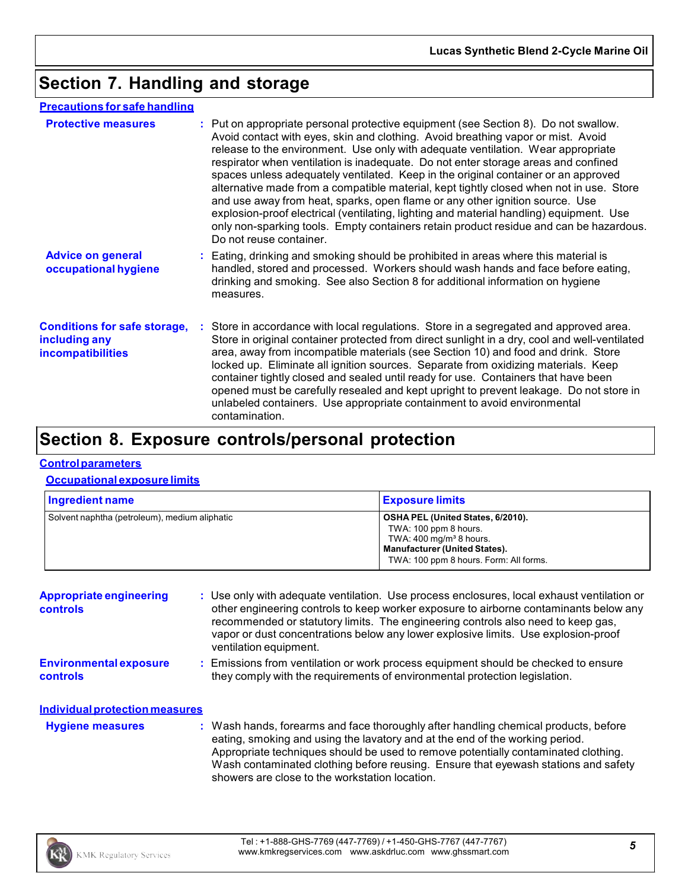### **Section 7. Handling and storage**

### **Precautions for safe handling**

| <b>Protective measures</b>                                                       | : Put on appropriate personal protective equipment (see Section 8). Do not swallow.<br>Avoid contact with eyes, skin and clothing. Avoid breathing vapor or mist. Avoid<br>release to the environment. Use only with adequate ventilation. Wear appropriate<br>respirator when ventilation is inadequate. Do not enter storage areas and confined<br>spaces unless adequately ventilated. Keep in the original container or an approved<br>alternative made from a compatible material, kept tightly closed when not in use. Store<br>and use away from heat, sparks, open flame or any other ignition source. Use<br>explosion-proof electrical (ventilating, lighting and material handling) equipment. Use<br>only non-sparking tools. Empty containers retain product residue and can be hazardous.<br>Do not reuse container. |  |
|----------------------------------------------------------------------------------|------------------------------------------------------------------------------------------------------------------------------------------------------------------------------------------------------------------------------------------------------------------------------------------------------------------------------------------------------------------------------------------------------------------------------------------------------------------------------------------------------------------------------------------------------------------------------------------------------------------------------------------------------------------------------------------------------------------------------------------------------------------------------------------------------------------------------------|--|
| <b>Advice on general</b><br>occupational hygiene                                 | : Eating, drinking and smoking should be prohibited in areas where this material is<br>handled, stored and processed. Workers should wash hands and face before eating,<br>drinking and smoking. See also Section 8 for additional information on hygiene<br>measures.                                                                                                                                                                                                                                                                                                                                                                                                                                                                                                                                                             |  |
| <b>Conditions for safe storage,</b><br>including any<br><b>incompatibilities</b> | : Store in accordance with local regulations. Store in a segregated and approved area.<br>Store in original container protected from direct sunlight in a dry, cool and well-ventilated<br>area, away from incompatible materials (see Section 10) and food and drink. Store<br>locked up. Eliminate all ignition sources. Separate from oxidizing materials. Keep<br>container tightly closed and sealed until ready for use. Containers that have been<br>opened must be carefully resealed and kept upright to prevent leakage. Do not store in<br>unlabeled containers. Use appropriate containment to avoid environmental<br>contamination.                                                                                                                                                                                   |  |

### **Section 8. Exposure controls/personal protection**

#### **Controlparameters**

#### **Occupational exposure limits**

| Ingredient name                               | <b>Exposure limits</b>                                                                                                                                                             |
|-----------------------------------------------|------------------------------------------------------------------------------------------------------------------------------------------------------------------------------------|
| Solvent naphtha (petroleum), medium aliphatic | OSHA PEL (United States, 6/2010).<br>TWA: 100 ppm 8 hours.<br>TWA: $400 \text{ mg/m}^3$ 8 hours.<br><b>Manufacturer (United States).</b><br>TWA: 100 ppm 8 hours. Form: All forms. |

| <b>Appropriate engineering</b><br>controls | : Use only with adequate ventilation. Use process enclosures, local exhaust ventilation or<br>other engineering controls to keep worker exposure to airborne contaminants below any<br>recommended or statutory limits. The engineering controls also need to keep gas,<br>vapor or dust concentrations below any lower explosive limits. Use explosion-proof                                     |
|--------------------------------------------|---------------------------------------------------------------------------------------------------------------------------------------------------------------------------------------------------------------------------------------------------------------------------------------------------------------------------------------------------------------------------------------------------|
|                                            | ventilation equipment.                                                                                                                                                                                                                                                                                                                                                                            |
| <b>Environmental exposure</b><br>controls  | : Emissions from ventilation or work process equipment should be checked to ensure<br>they comply with the requirements of environmental protection legislation.                                                                                                                                                                                                                                  |
| <b>Individual protection measures</b>      |                                                                                                                                                                                                                                                                                                                                                                                                   |
| <b>Hygiene measures</b>                    | : Wash hands, forearms and face thoroughly after handling chemical products, before<br>eating, smoking and using the lavatory and at the end of the working period.<br>Appropriate techniques should be used to remove potentially contaminated clothing.<br>Wash contaminated clothing before reusing. Ensure that eyewash stations and safety<br>showers are close to the workstation location. |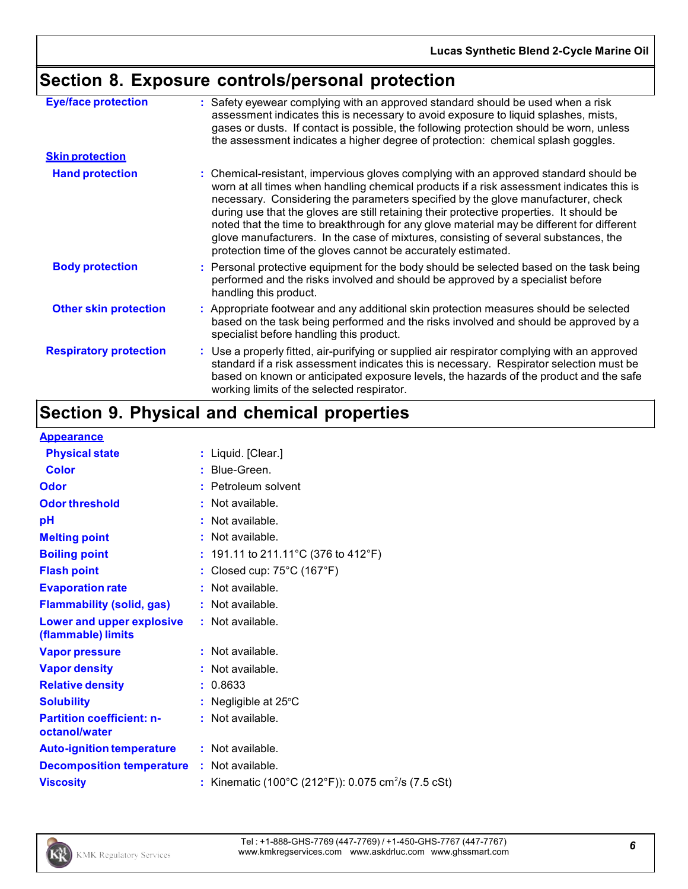## **Section 8. Exposure controls/personal protection**

| <b>Eye/face protection</b><br>: Safety eyewear complying with an approved standard should be used when a risk<br>assessment indicates this is necessary to avoid exposure to liquid splashes, mists,<br>gases or dusts. If contact is possible, the following protection should be worn, unless                                                                                                                                                                                                                                                                                                                                                  |  |
|--------------------------------------------------------------------------------------------------------------------------------------------------------------------------------------------------------------------------------------------------------------------------------------------------------------------------------------------------------------------------------------------------------------------------------------------------------------------------------------------------------------------------------------------------------------------------------------------------------------------------------------------------|--|
| the assessment indicates a higher degree of protection: chemical splash goggles.                                                                                                                                                                                                                                                                                                                                                                                                                                                                                                                                                                 |  |
| <b>Skin protection</b>                                                                                                                                                                                                                                                                                                                                                                                                                                                                                                                                                                                                                           |  |
| <b>Hand protection</b><br>: Chemical-resistant, impervious gloves complying with an approved standard should be<br>worn at all times when handling chemical products if a risk assessment indicates this is<br>necessary. Considering the parameters specified by the glove manufacturer, check<br>during use that the gloves are still retaining their protective properties. It should be<br>noted that the time to breakthrough for any glove material may be different for different<br>glove manufacturers. In the case of mixtures, consisting of several substances, the<br>protection time of the gloves cannot be accurately estimated. |  |
| <b>Body protection</b><br>: Personal protective equipment for the body should be selected based on the task being<br>performed and the risks involved and should be approved by a specialist before<br>handling this product.                                                                                                                                                                                                                                                                                                                                                                                                                    |  |
| <b>Other skin protection</b><br>: Appropriate footwear and any additional skin protection measures should be selected<br>based on the task being performed and the risks involved and should be approved by a<br>specialist before handling this product.                                                                                                                                                                                                                                                                                                                                                                                        |  |
| <b>Respiratory protection</b><br>: Use a properly fitted, air-purifying or supplied air respirator complying with an approved<br>standard if a risk assessment indicates this is necessary. Respirator selection must be<br>based on known or anticipated exposure levels, the hazards of the product and the safe<br>working limits of the selected respirator.                                                                                                                                                                                                                                                                                 |  |

## **Section 9. Physical and chemical properties**

#### **Appearance**

| . . <b>.</b>                                      |                                                                 |
|---------------------------------------------------|-----------------------------------------------------------------|
| <b>Physical state</b>                             | : Liquid. [Clear.]                                              |
| Color                                             | $:$ Blue-Green.                                                 |
| <b>Odor</b>                                       | : Petroleum solvent                                             |
| <b>Odor threshold</b>                             | $\cdot$ Not available.                                          |
| pH                                                | Not available.                                                  |
| <b>Melting point</b>                              | : Not available.                                                |
| <b>Boiling point</b>                              | : 191.11 to 211.11 °C (376 to 412 °F)                           |
| <b>Flash point</b>                                | : Closed cup: $75^{\circ}$ C (167 $^{\circ}$ F)                 |
| <b>Evaporation rate</b>                           | : Not available.                                                |
| <b>Flammability (solid, gas)</b>                  | : Not available.                                                |
| Lower and upper explosive<br>(flammable) limits   | : Not available.                                                |
| <b>Vapor pressure</b>                             | : Not available.                                                |
| <b>Vapor density</b>                              | : Not available.                                                |
| <b>Relative density</b>                           | : 0.8633                                                        |
| <b>Solubility</b>                                 | : Negligible at $25^{\circ}$ C                                  |
| <b>Partition coefficient: n-</b><br>octanol/water | : Not available.                                                |
| <b>Auto-ignition temperature</b>                  | : Not available.                                                |
| <b>Decomposition temperature</b>                  | : Not available.                                                |
| <b>Viscosity</b>                                  | : Kinematic (100°C (212°F)): 0.075 cm <sup>2</sup> /s (7.5 cSt) |
|                                                   |                                                                 |

Tel : +1-888-GHS-7769 (447-7769) / +1-450-GHS-7767 (447-7767) Tel: +1-888-GHS-7769 (447-7769*) /* +1-450-GHS-7767 (447-7767)<br>www.kmkregservices.com www.askdrluc.com www.ghssmart.com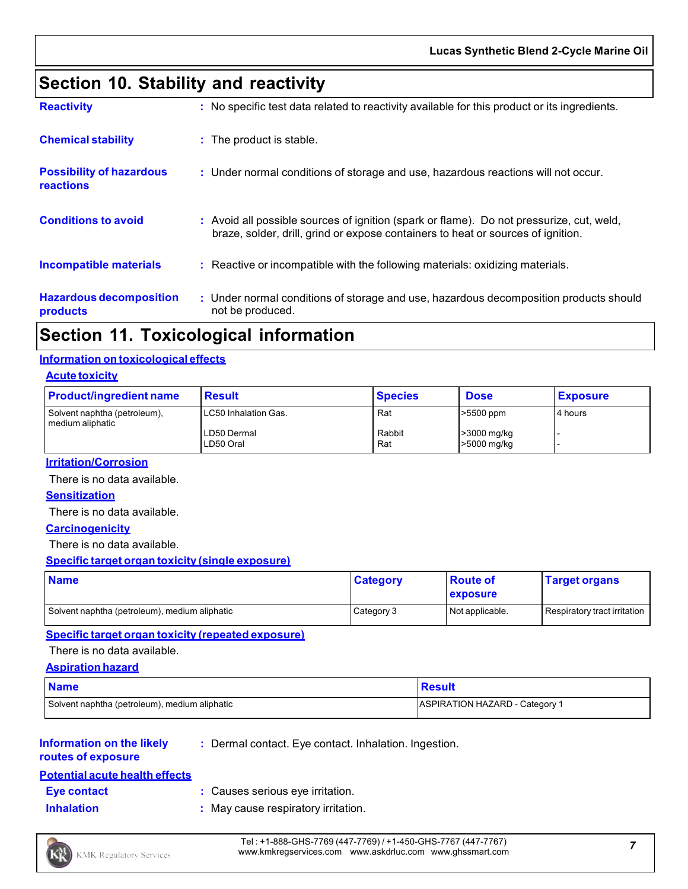### **Section 10. Stability and reactivity**

| <b>Reactivity</b>                                   | : No specific test data related to reactivity available for this product or its ingredients.                                                                                 |
|-----------------------------------------------------|------------------------------------------------------------------------------------------------------------------------------------------------------------------------------|
| <b>Chemical stability</b>                           | : The product is stable.                                                                                                                                                     |
| <b>Possibility of hazardous</b><br><b>reactions</b> | : Under normal conditions of storage and use, hazardous reactions will not occur.                                                                                            |
| <b>Conditions to avoid</b>                          | : Avoid all possible sources of ignition (spark or flame). Do not pressurize, cut, weld,<br>braze, solder, drill, grind or expose containers to heat or sources of ignition. |
| <b>Incompatible materials</b>                       | : Reactive or incompatible with the following materials: oxidizing materials.                                                                                                |
| <b>Hazardous decomposition</b><br>products          | : Under normal conditions of storage and use, hazardous decomposition products should<br>not be produced.                                                                    |

### **Section 11. Toxicological information**

#### **Information on toxicological effects**

#### **Acute toxicity**

| <b>Product/ingredient name</b>                     | <b>Result</b>            | <b>Species</b> | <b>Dose</b>                | <b>Exposure</b> |
|----------------------------------------------------|--------------------------|----------------|----------------------------|-----------------|
| Solvent naphtha (petroleum),<br>I medium aliphatic | LC50 Inhalation Gas.     | Rat            | >5500 ppm                  | 4 hours         |
|                                                    | LD50 Dermal<br>LD50 Oral | Rabbit<br>Rat  | >3000 mg/kg<br>>5000 mg/kg |                 |

#### **Irritation/Corrosion**

There is no data available.

#### **Sensitization**

There is no data available.

#### **Carcinogenicity**

There is no data available.

#### **Specific target organ toxicity (single exposure)**

| <b>Name</b>                                   | <b>Category</b> | <b>Route of</b><br><b>exposure</b> | <b>Target organs</b>         |
|-----------------------------------------------|-----------------|------------------------------------|------------------------------|
| Solvent naphtha (petroleum), medium aliphatic | Category 3      | Not applicable.                    | Respiratory tract irritation |

#### **Specific target organ toxicity (repeated exposure)**

There is no data available.

#### **Aspiration hazard**

| <b>Name</b>                                   | <b>Result</b>                         |
|-----------------------------------------------|---------------------------------------|
| Solvent naphtha (petroleum), medium aliphatic | <b>ASPIRATION HAZARD - Category 1</b> |

#### **Information on the likely routes of exposure**

**:** Dermal contact. Eye contact. Inhalation. Ingestion.

### **Potential acute health effects**

- **Eye contact :** Causes serious eye irritation.
- 
- 
- **Inhalation :** May cause respiratory irritation.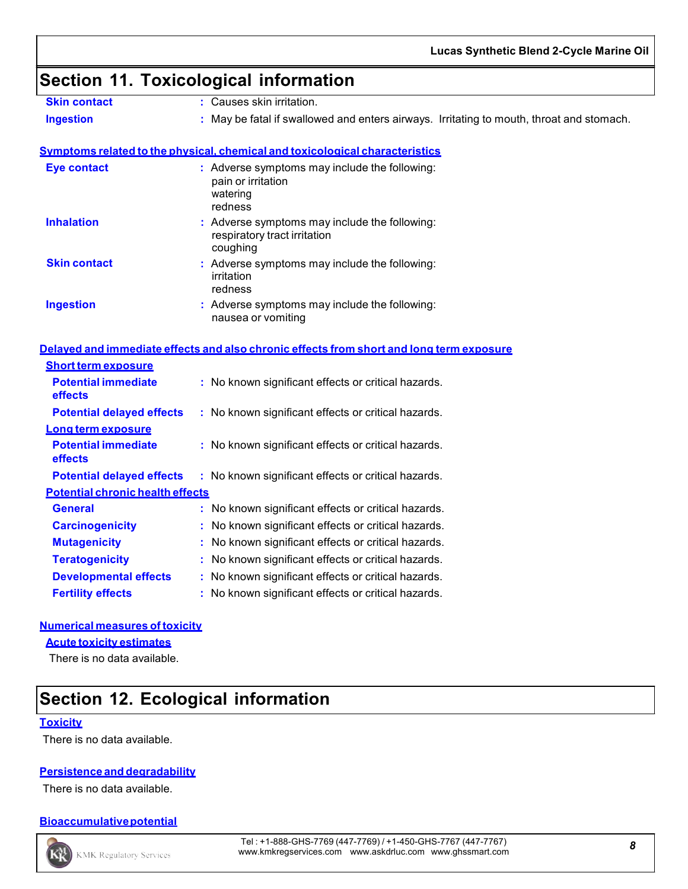### **Section 11. Toxicological information**

- **Skin contact :** Causes skin irritation.
- **Ingestion 1998 <b>:** May be fatal if swallowed and enters airways. Irritating to mouth, throat and stomach.

#### **Symptoms related to the physical, chemical and toxicological characteristics**

| Eye contact         | : Adverse symptoms may include the following:<br>pain or irritation<br>watering<br>redness |
|---------------------|--------------------------------------------------------------------------------------------|
| <b>Inhalation</b>   | : Adverse symptoms may include the following:<br>respiratory tract irritation<br>coughing  |
| <b>Skin contact</b> | : Adverse symptoms may include the following:<br>irritation<br>redness                     |
| <b>Ingestion</b>    | : Adverse symptoms may include the following:<br>nausea or vomiting                        |

#### **Delayed and immediate effects and also chronic effects from short and long term exposure**

| <b>Short term exposure</b>              |                                                     |
|-----------------------------------------|-----------------------------------------------------|
| <b>Potential immediate</b><br>effects   | : No known significant effects or critical hazards. |
| <b>Potential delayed effects</b>        | : No known significant effects or critical hazards. |
| Long term exposure                      |                                                     |
| <b>Potential immediate</b><br>effects   | : No known significant effects or critical hazards. |
| <b>Potential delayed effects</b>        | : No known significant effects or critical hazards. |
| <b>Potential chronic health effects</b> |                                                     |
| General                                 | : No known significant effects or critical hazards. |
| <b>Carcinogenicity</b>                  | : No known significant effects or critical hazards. |
| <b>Mutagenicity</b>                     | : No known significant effects or critical hazards. |
| <b>Teratogenicity</b>                   | : No known significant effects or critical hazards. |
| <b>Developmental effects</b>            | : No known significant effects or critical hazards. |
| <b>Fertility effects</b>                | : No known significant effects or critical hazards. |

#### **Numerical measures of toxicity**

#### **Acute toxicity estimates**

There is no data available.

### **Section 12. Ecological information**

#### **Toxicity**

There is no data available.

#### **Persistence and degradability**

There is no data available.

#### **Bioaccumulative potential**



Tel : +1-888-GHS-7769 (447-7769) / +1-450-GHS-7767 (447-7767) www.kmkregservices.com www.askdrluc.com www.ghssmart.com *<sup>8</sup>*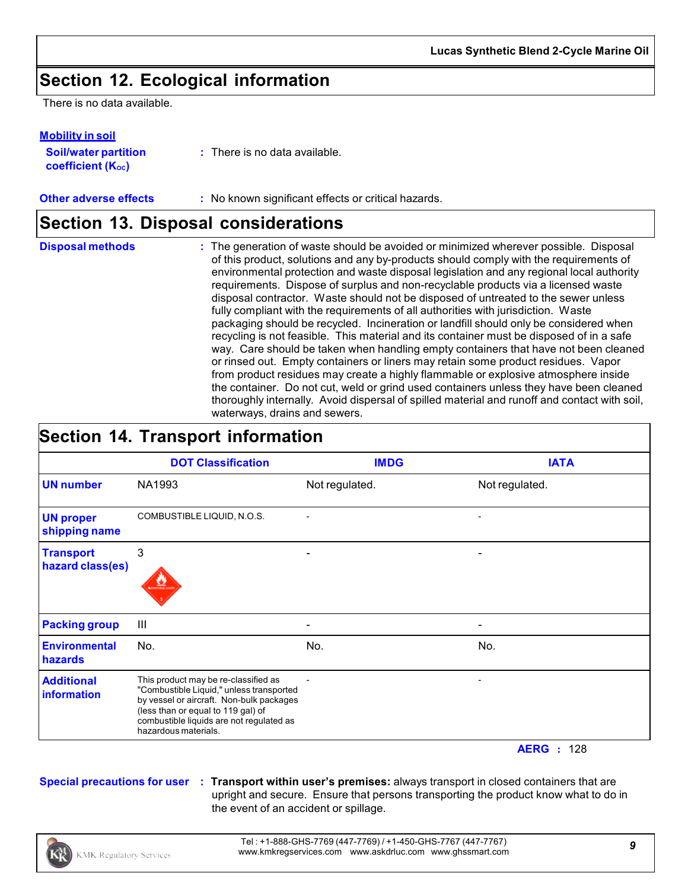### **Section 12. Ecological information**

There is no data available.

| <b>Soil/water partition</b>    | $\therefore$ There is no data available. |  |
|--------------------------------|------------------------------------------|--|
| coefficient (K <sub>oc</sub> ) |                                          |  |

#### **Other adverse effects** : No known significant effects or critical hazards.

### **Section 13. Disposal considerations**

| <b>Disposal methods</b> | : The generation of waste should be avoided or minimized wherever possible. Disposal<br>of this product, solutions and any by-products should comply with the requirements of<br>environmental protection and waste disposal legislation and any regional local authority<br>requirements. Dispose of surplus and non-recyclable products via a licensed waste<br>disposal contractor. Waste should not be disposed of untreated to the sewer unless<br>fully compliant with the requirements of all authorities with jurisdiction. Waste<br>packaging should be recycled. Incineration or landfill should only be considered when<br>recycling is not feasible. This material and its container must be disposed of in a safe<br>way. Care should be taken when handling empty containers that have not been cleaned<br>or rinsed out. Empty containers or liners may retain some product residues. Vapor<br>from product residues may create a highly flammable or explosive atmosphere inside<br>the container. Do not cut, weld or grind used containers unless they have been cleaned<br>thoroughly internally. Avoid dispersal of spilled material and runoff and contact with soil, |
|-------------------------|--------------------------------------------------------------------------------------------------------------------------------------------------------------------------------------------------------------------------------------------------------------------------------------------------------------------------------------------------------------------------------------------------------------------------------------------------------------------------------------------------------------------------------------------------------------------------------------------------------------------------------------------------------------------------------------------------------------------------------------------------------------------------------------------------------------------------------------------------------------------------------------------------------------------------------------------------------------------------------------------------------------------------------------------------------------------------------------------------------------------------------------------------------------------------------------------|
|                         | waterways, drains and sewers.                                                                                                                                                                                                                                                                                                                                                                                                                                                                                                                                                                                                                                                                                                                                                                                                                                                                                                                                                                                                                                                                                                                                                              |

### **Section 14. Transport information**

|                                         | <b>DOT Classification</b>                                                                                                                                                                                                              | <b>IMDG</b>    | <b>IATA</b>    |
|-----------------------------------------|----------------------------------------------------------------------------------------------------------------------------------------------------------------------------------------------------------------------------------------|----------------|----------------|
| <b>UN number</b>                        | NA1993                                                                                                                                                                                                                                 | Not regulated. | Not regulated. |
| <b>UN proper</b><br>shipping name       | COMBUSTIBLE LIQUID, N.O.S.                                                                                                                                                                                                             |                |                |
| <b>Transport</b><br>hazard class(es)    | 3                                                                                                                                                                                                                                      |                |                |
| <b>Packing group</b>                    | $\mathbf{III}$                                                                                                                                                                                                                         |                |                |
| <b>Environmental</b><br>hazards         | No.                                                                                                                                                                                                                                    | No.            | No.            |
| <b>Additional</b><br><b>information</b> | This product may be re-classified as<br>"Combustible Liquid," unless transported<br>by vessel or aircraft. Non-bulk packages<br>(less than or equal to 119 gal) of<br>combustible liquids are not regulated as<br>hazardous materials. |                |                |

#### **AERG :** 128

**Special precautions for user : Transport within user's premises:** always transport in closed containers that are upright and secure. Ensure that persons transporting the product know what to do in the event of an accident or spillage.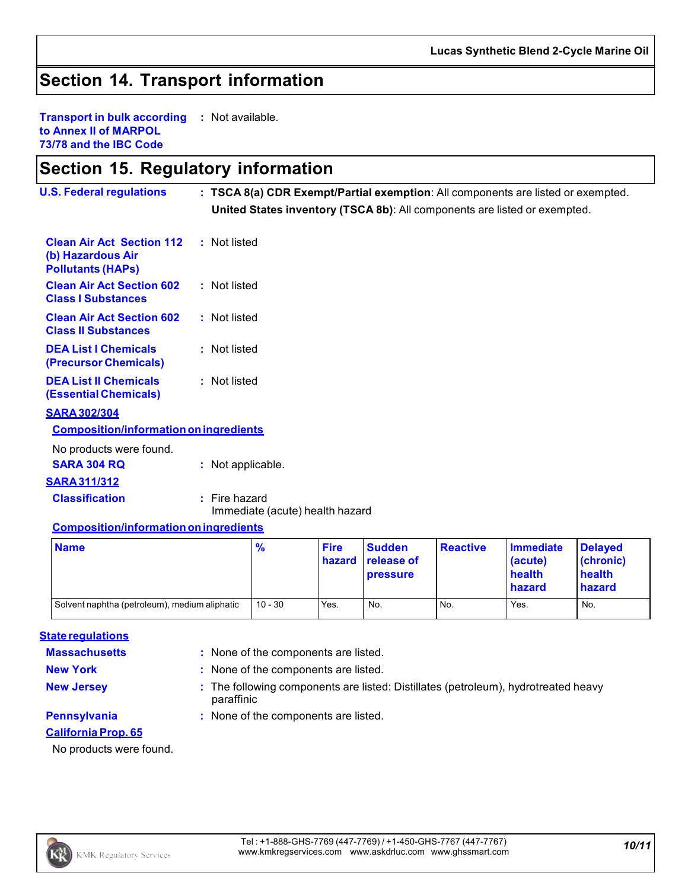### **Section 14. Transport information**

**Transport in bulk according to Annex II of MARPOL 73/78 and the IBC Code :** Not available.

### **Section 15. Regulatory information**

| <b>U.S. Federal regulations</b>                                                   | : TSCA 8(a) CDR Exempt/Partial exemption: All components are listed or exempted.<br>United States inventory (TSCA 8b): All components are listed or exempted. |             |               |                 |                  |                |
|-----------------------------------------------------------------------------------|---------------------------------------------------------------------------------------------------------------------------------------------------------------|-------------|---------------|-----------------|------------------|----------------|
| <b>Clean Air Act Section 112</b><br>(b) Hazardous Air<br><b>Pollutants (HAPS)</b> | : Not listed                                                                                                                                                  |             |               |                 |                  |                |
| <b>Clean Air Act Section 602</b><br><b>Class I Substances</b>                     | : Not listed                                                                                                                                                  |             |               |                 |                  |                |
| <b>Clean Air Act Section 602</b><br><b>Class II Substances</b>                    | : Not listed                                                                                                                                                  |             |               |                 |                  |                |
| <b>DEA List I Chemicals</b><br>(Precursor Chemicals)                              | : Not listed                                                                                                                                                  |             |               |                 |                  |                |
| <b>DEA List II Chemicals</b><br><b>(Essential Chemicals)</b>                      | : Not listed                                                                                                                                                  |             |               |                 |                  |                |
| <b>SARA 302/304</b>                                                               |                                                                                                                                                               |             |               |                 |                  |                |
| <b>Composition/information on ingredients</b>                                     |                                                                                                                                                               |             |               |                 |                  |                |
| No products were found.                                                           |                                                                                                                                                               |             |               |                 |                  |                |
| <b>SARA 304 RQ</b>                                                                | : Not applicable.                                                                                                                                             |             |               |                 |                  |                |
| <b>SARA 311/312</b>                                                               |                                                                                                                                                               |             |               |                 |                  |                |
| <b>Classification</b>                                                             | $:$ Fire hazard<br>Immediate (acute) health hazard                                                                                                            |             |               |                 |                  |                |
| <b>Composition/information on ingredients</b>                                     |                                                                                                                                                               |             |               |                 |                  |                |
| <b>Name</b>                                                                       | $\frac{Q}{2}$                                                                                                                                                 | <b>Fire</b> | <b>Sudden</b> | <b>Reactive</b> | <b>Immediate</b> | <b>Delaved</b> |

| <b>Name</b>                                   | $\frac{9}{6}$ | <b>Fire</b> | <b>Sudden</b><br>hazard release of<br><b>pressure</b> | <b>Reactive</b> | Immediate<br>(acute)<br>health<br><b>hazard</b> | <b>Delaved</b><br>(chronic)<br>health<br>hazard |
|-----------------------------------------------|---------------|-------------|-------------------------------------------------------|-----------------|-------------------------------------------------|-------------------------------------------------|
| Solvent naphtha (petroleum), medium aliphatic | $10 - 30$     | Yes.        | No.                                                   | No.             | Yes.                                            | No.                                             |

#### **State regulations**

**Massachusetts :** None of the components are listed.

**New York :** None of the components are listed.

**New Jersey <b>State State in State 1**: The following components are listed: Distillates (petroleum), hydrotreated heavy paraffinic

### **Pennsylvania :** None of the components are listed.

**California Prop. 65**

No products were found.